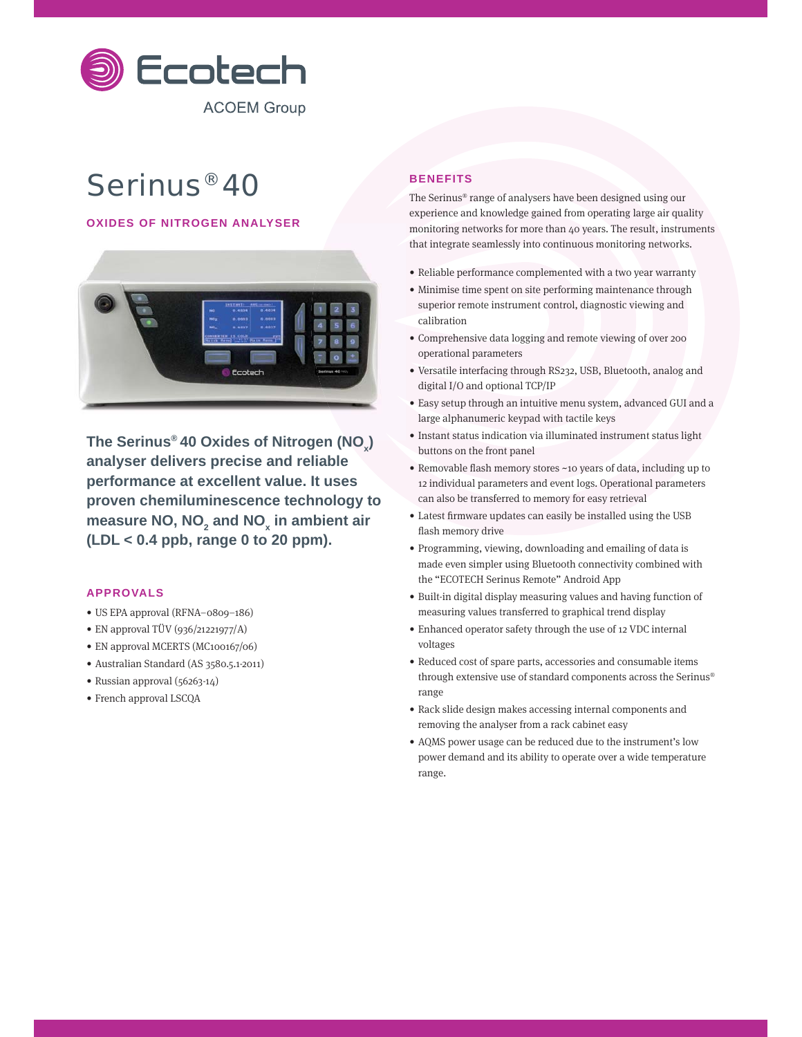

# Serinus® 40

# **OXIDES OF NITROGEN ANALYSER**



The Serinus® 40 Oxides of Nitrogen (NO<sub>x</sub>) **analyser delivers precise and reliable performance at excellent value. It uses proven chemiluminescence technology to**  measure NO, NO<sub>2</sub> and NO<sub>x</sub> in ambient air **(LDL < 0.4 ppb, range 0 to 20 ppm).**

### **APPROVALS**

- US EPA approval (RFNA–0809–186)
- EN approval TÜV (936/21221977/A)
- EN approval MCERTS (MC100167/06)
- Australian Standard (AS 3580.5.1-2011)
- Russian approval (56263-14)
- French approval LSCQA

# **BENEFITS**

The Serinus® range of analysers have been designed using our experience and knowledge gained from operating large air quality monitoring networks for more than 40 years. The result, instruments that integrate seamlessly into continuous monitoring networks.

- Reliable performance complemented with a two year warranty
- Minimise time spent on site performing maintenance through superior remote instrument control, diagnostic viewing and calibration
- Comprehensive data logging and remote viewing of over 200 operational parameters
- Versatile interfacing through RS232, USB, Bluetooth, analog and digital I/O and optional TCP/IP
- Easy setup through an intuitive menu system, advanced GUI and a large alphanumeric keypad with tactile keys
- Instant status indication via illuminated instrument status light buttons on the front panel
- Removable flash memory stores ~10 years of data, including up to 12 individual parameters and event logs. Operational parameters can also be transferred to memory for easy retrieval
- Latest firmware updates can easily be installed using the USB flash memory drive
- Programming, viewing, downloading and emailing of data is made even simpler using Bluetooth connectivity combined with the "ECOTECH Serinus Remote" Android App
- Built-in digital display measuring values and having function of measuring values transferred to graphical trend display
- Enhanced operator safety through the use of 12 VDC internal voltages
- Reduced cost of spare parts, accessories and consumable items through extensive use of standard components across the Serinus® range
- Rack slide design makes accessing internal components and removing the analyser from a rack cabinet easy
- AQMS power usage can be reduced due to the instrument's low power demand and its ability to operate over a wide temperature range.